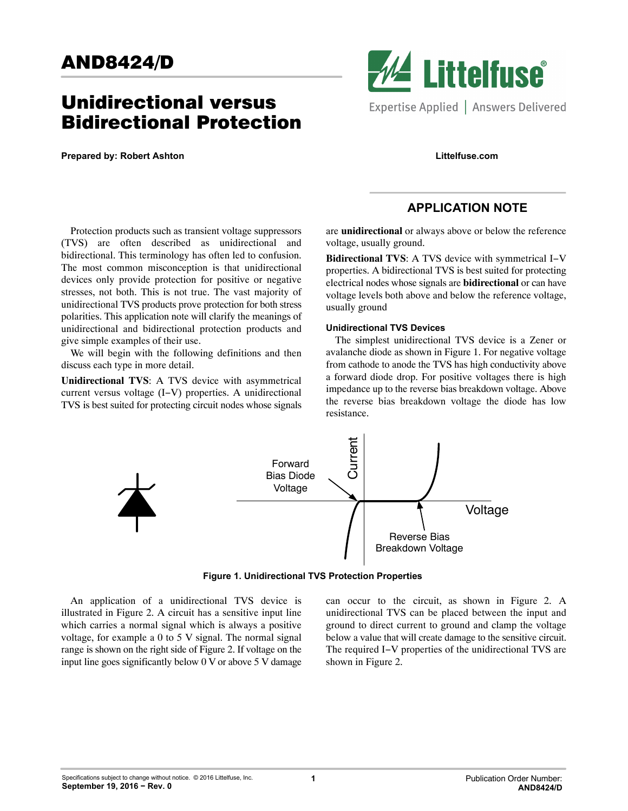# AND8424/D

## Unidirectional versus Bidirectional Protection

Protection products such as transient voltage suppressors (TVS) are often described as unidirectional and bidirectional. This terminology has often led to confusion. The most common misconception is that unidirectional devices only provide protection for positive or negative stresses, not both. This is not true. The vast majority of unidirectional TVS products prove protection for both stress polarities. This application note will clarify the meanings of unidirectional and bidirectional protection products and

We will begin with the following definitions and then

**Unidirectional TVS**: A TVS device with asymmetrical current versus voltage (I−V) properties. A unidirectional TVS is best suited for protecting circuit nodes whose signals

**Prepared by: Robert Ashton**

give simple examples of their use.

discuss each type in more detail.



**Littelfuse.com**

## **APPLICATION NOTE**

are **unidirectional** or always above or below the reference voltage, usually ground.

**Bidirectional TVS**: A TVS device with symmetrical I−V properties. A bidirectional TVS is best suited for protecting electrical nodes whose signals are **bidirectional** or can have voltage levels both above and below the reference voltage, usually ground

### **Unidirectional TVS Devices**

The simplest unidirectional TVS device is a Zener or avalanche diode as shown in Figure 1. For negative voltage from cathode to anode the TVS has high conductivity above a forward diode drop. For positive voltages there is high impedance up to the reverse bias breakdown voltage. Above the reverse bias breakdown voltage the diode has low resistance.



**Figure 1. Unidirectional TVS Protection Properties**

An application of a unidirectional TVS device is illustrated in Figure [2.](#page-1-0) A circuit has a sensitive input line which carries a normal signal which is always a positive voltage, for example a 0 to 5 V signal. The normal signal range is shown on the right side of Figure [2.](#page-1-0) If voltage on the input line goes significantly below 0 V or above 5 V damage

can occur to the circuit, as shown in Figure [2.](#page-1-0) A unidirectional TVS can be placed between the input and ground to direct current to ground and clamp the voltage below a value that will create damage to the sensitive circuit. The required I−V properties of the unidirectional TVS are shown in Figure [2.](#page-1-0)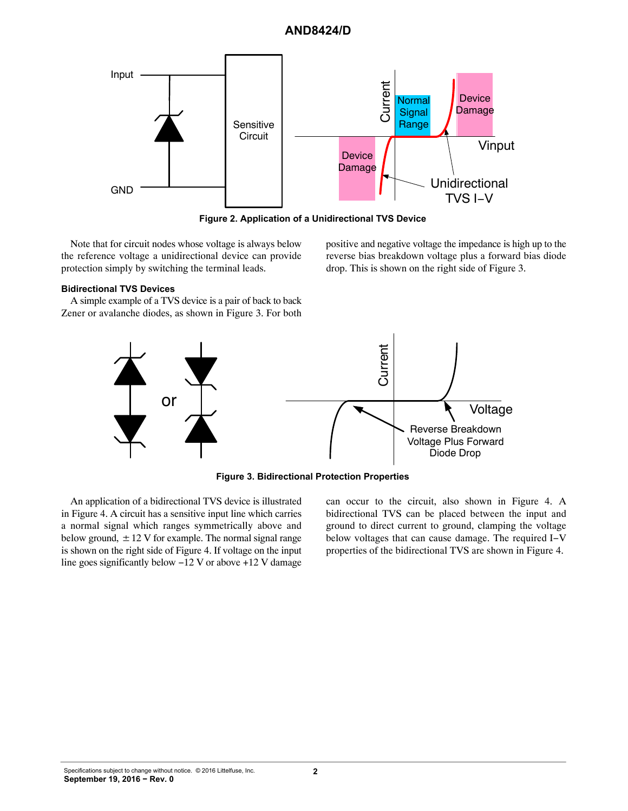## **AND8424/D**

<span id="page-1-0"></span>

**Figure 2. Application of a Unidirectional TVS Device**

Note that for circuit nodes whose voltage is always below the reference voltage a unidirectional device can provide protection simply by switching the terminal leads.

#### **Bidirectional TVS Devices**

A simple example of a TVS device is a pair of back to back Zener or avalanche diodes, as shown in Figure 3. For both positive and negative voltage the impedance is high up to the reverse bias breakdown voltage plus a forward bias diode drop. This is shown on the right side of Figure 3.



**Figure 3. Bidirectional Protection Properties**

An application of a bidirectional TVS device is illustrated in Figure [4.](#page-2-0) A circuit has a sensitive input line which carries a normal signal which ranges symmetrically above and below ground,  $\pm$  12 V for example. The normal signal range is shown on the right side of Figure [4](#page-2-0). If voltage on the input line goes significantly below −12 V or above +12 V damage

can occur to the circuit, also shown in Figure [4.](#page-2-0) A bidirectional TVS can be placed between the input and ground to direct current to ground, clamping the voltage below voltages that can cause damage. The required I−V properties of the bidirectional TVS are shown in Figure [4](#page-2-0).